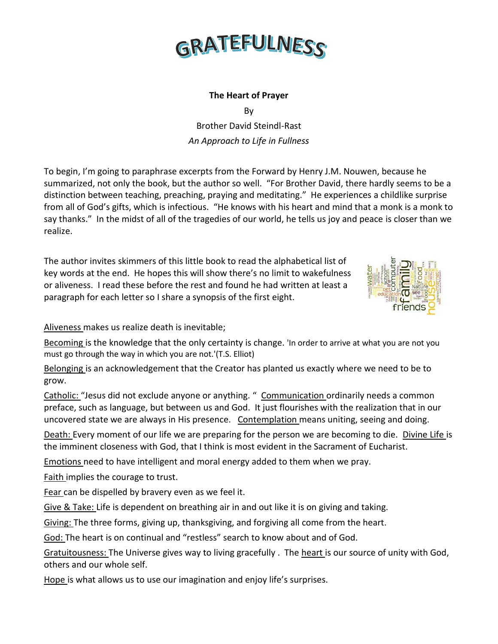

## **The Heart of Prayer**

By

Brother David Steindl-Rast *An Approach to Life in Fullness*

To begin, I'm going to paraphrase excerpts from the Forward by Henry J.M. Nouwen, because he summarized, not only the book, but the author so well. "For Brother David, there hardly seems to be a distinction between teaching, preaching, praying and meditating." He experiences a childlike surprise from all of God's gifts, which is infectious. "He knows with his heart and mind that a monk is a monk to say thanks." In the midst of all of the tragedies of our world, he tells us joy and peace is closer than we realize.

The author invites skimmers of this little book to read the alphabetical list of key words at the end. He hopes this will show there's no limit to wakefulness or aliveness. I read these before the rest and found he had written at least a paragraph for each letter so I share a synopsis of the first eight.



Aliveness makes us realize death is inevitable;

Becoming is the knowledge that the only certainty is change. 'In order to arrive at what you are not you must go through the way in which you are not.'(T.S. Elliot)

Belonging is an acknowledgement that the Creator has planted us exactly where we need to be to grow.

Catholic: "Jesus did not exclude anyone or anything. " Communication ordinarily needs a common preface, such as language, but between us and God. It just flourishes with the realization that in our uncovered state we are always in His presence. Contemplation means uniting, seeing and doing.

Death: Every moment of our life we are preparing for the person we are becoming to die. Divine Life is the imminent closeness with God, that I think is most evident in the Sacrament of Eucharist.

Emotions need to have intelligent and moral energy added to them when we pray.

Faith implies the courage to trust.

Fear can be dispelled by bravery even as we feel it.

Give & Take: Life is dependent on breathing air in and out like it is on giving and taking.

Giving: The three forms, giving up, thanksgiving, and forgiving all come from the heart.

God: The heart is on continual and "restless" search to know about and of God.

Gratuitousness: The Universe gives way to living gracefully . The heart is our source of unity with God, others and our whole self.

Hope is what allows us to use our imagination and enjoy life's surprises.